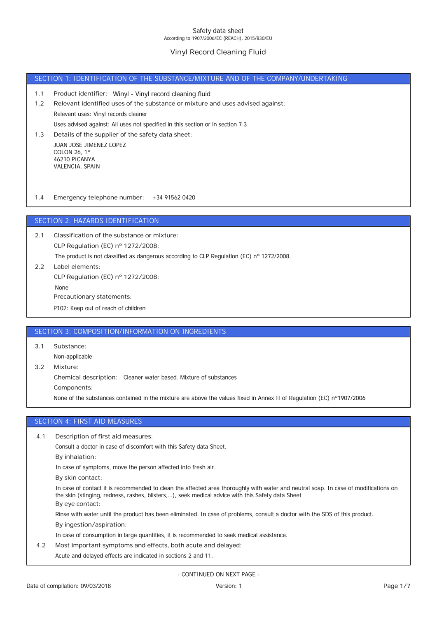# **Vinyl Record Cleaning Fluid**

## SECTION 1: IDENTIFICATION OF THE SUBSTANCE/MIXTURE AND OF THE COMPANY/UNDERTAKING

- **1.1 Product identifier:** Winyl Vinyl record cleaning fluid
- Uses advised against: All uses not specified in this section or in section 7.3 Relevant uses: Vinyl records cleaner **1.2 Relevant identified uses of the substance or mixture and uses advised against:**
- JUAN JOSE JIMENEZ LOPEZ COLON 26, 1º **1.3 Details of the supplier of the safety data sheet:**

**1.4 Emergency telephone number:** +34 91562 0420

## SECTION 2: HAZARDS IDENTIFICATION

**CLP Regulation (EC) nº 1272/2008: 2.1 Classification of the substance or mixture:**

The product is not classified as dangerous according to CLP Regulation (EC) n° 1272/2008.

**2.2 Label elements: CLP Regulation (EC) nº 1272/2008:**

46210 PICANYA VALENCIA, SPAIN

None

**Precautionary statements:**

P102: Keep out of reach of children

## SECTION 3: COMPOSITION/INFORMATION ON INGREDIENTS

**3.1 Substance:**

Non-applicable

None of the substances contained in the mixture are above the values fixed in Annex II of Regulation (EC) n°1907/2006 **Components: Chemical description:** Cleaner water based. Mixture of substances **3.2 Mixture:**

# SECTION 4: FIRST AID MEASURES

**4.1 Description of first aid measures:**

Consult a doctor in case of discomfort with this Safety data Sheet.

**By inhalation:**

In case of symptoms, move the person affected into fresh air.

**By skin contact:**

**By eye contact:** In case of contact it is recommended to clean the affected area thoroughly with water and neutral soap. In case of modifications on the skin (stinging, redness, rashes, blisters,…), seek medical advice with this Safety data Sheet

**By ingestion/aspiration:** Rinse with water until the product has been eliminated. In case of problems, consult a doctor with the SDS of this product.

In case of consumption in large quantities, it is recommended to seek medical assistance.

**4.2 Most important symptoms and effects, both acute and delayed:**

Acute and delayed effects are indicated in sections 2 and 11.

- CONTINUED ON NEXT PAGE -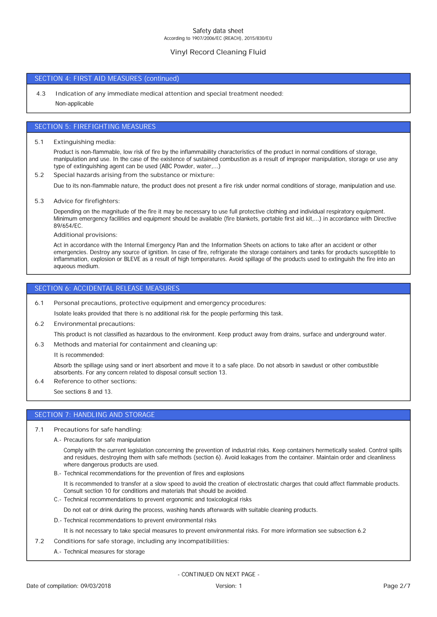# **Vinyl Record Cleaning Fluid**

## SECTION 4: FIRST AID MEASURES (continued)

Non-applicable **4.3 Indication of any immediate medical attention and special treatment needed:**

### SECTION 5: FIREFIGHTING MEASURES

**5.1 Extinguishing media:**

Product is non-flammable, low risk of fire by the inflammability characteristics of the product in normal conditions of storage, manipulation and use. In the case of the existence of sustained combustion as a result of improper manipulation, storage or use any type of extinguishing agent can be used (ABC Powder, water,...)

**5.2 Special hazards arising from the substance or mixture:**

Due to its non-flammable nature, the product does not present a fire risk under normal conditions of storage, manipulation and use.

**5.3 Advice for firefighters:**

Depending on the magnitude of the fire it may be necessary to use full protective clothing and individual respiratory equipment. Minimum emergency facilities and equipment should be available (fire blankets, portable first aid kit,...) in accordance with Directive 89/654/EC.

**Additional provisions:**

Act in accordance with the Internal Emergency Plan and the Information Sheets on actions to take after an accident or other emergencies. Destroy any source of ignition. In case of fire, refrigerate the storage containers and tanks for products susceptible to inflammation, explosion or BLEVE as a result of high temperatures. Avoid spillage of the products used to extinguish the fire into an aqueous medium.

#### SECTION 6: ACCIDENTAL RELEASE MEASURES

**6.1 Personal precautions, protective equipment and emergency procedures:**

Isolate leaks provided that there is no additional risk for the people performing this task.

**6.2 Environmental precautions:**

This product is not classified as hazardous to the environment. Keep product away from drains, surface and underground water.

**6.3 Methods and material for containment and cleaning up:**

It is recommended:

Absorb the spillage using sand or inert absorbent and move it to a safe place. Do not absorb in sawdust or other combustible absorbents. For any concern related to disposal consult section 13.

**6.4 Reference to other sections:**

See sections 8 and 13.

# SECTION 7: HANDLING AND STORAGE

- **7.1 Precautions for safe handling:**
	- A.- Precautions for safe manipulation

Comply with the current legislation concerning the prevention of industrial risks. Keep containers hermetically sealed. Control spills and residues, destroying them with safe methods (section 6). Avoid leakages from the container. Maintain order and cleanliness where dangerous products are used.

B.- Technical recommendations for the prevention of fires and explosions

It is recommended to transfer at a slow speed to avoid the creation of electrostatic charges that could affect flammable products. Consult section 10 for conditions and materials that should be avoided.

C.- Technical recommendations to prevent ergonomic and toxicological risks

- Do not eat or drink during the process, washing hands afterwards with suitable cleaning products.
- D.- Technical recommendations to prevent environmental risks

It is not necessary to take special measures to prevent environmental risks. For more information see subsection 6.2

- **7.2 Conditions for safe storage, including any incompatibilities:**
	- A.- Technical measures for storage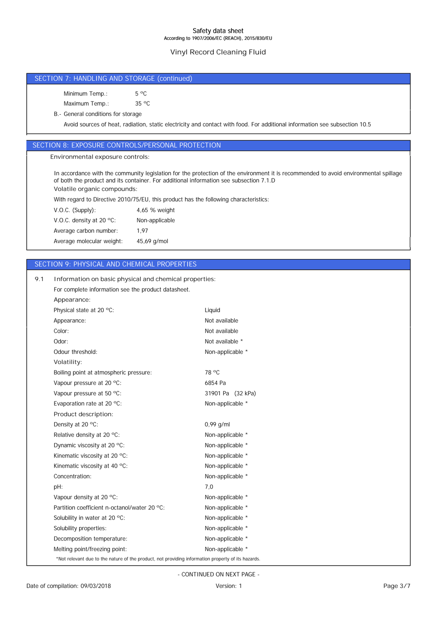# **Vinyl Record Cleaning Fluid**

# SECTION 7: HANDLING AND STORAGE (continued) Maximum Temp.: 35 °C Minimum Temp.: 5 °C Avoid sources of heat, radiation, static electricity and contact with food. For additional information see subsection 10.5 B.- General conditions for storageAverage molecular weight: 45,69 g/mol Average carbon number: 1,97 V.O.C. density at 20 ºC: Non-applicable V.O.C. (Supply): 4,65 % weight With regard to Directive 2010/75/EU, this product has the following characteristics: **Volatile organic compounds:** In accordance with the community legislation for the protection of the environment it is recommended to avoid environmental spillage of both the product and its container. For additional information see subsection 7.1.D SECTION 9: PHYSICAL AND CHEMICAL PROPERTIES Appearance: Not available Physical state at 20 °C: Liquid **Appearance:** For complete information see the product datasheet. **9.1 Information on basic physical and chemical properties: Environmental exposure controls:** SECTION 8: EXPOSURE CONTROLS/PERSONAL PROTECTION

| Color:                                                                                             | Not available     |
|----------------------------------------------------------------------------------------------------|-------------------|
| Odor:                                                                                              | Not available *   |
| Odour threshold:                                                                                   | Non-applicable *  |
| Volatility:                                                                                        |                   |
| Boiling point at atmospheric pressure:                                                             | 78 °C             |
| Vapour pressure at 20 °C:                                                                          | 6854 Pa           |
| Vapour pressure at 50 °C:                                                                          | 31901 Pa (32 kPa) |
| Evaporation rate at 20 °C:                                                                         | Non-applicable *  |
| Product description:                                                                               |                   |
| Density at 20 °C:                                                                                  | $0,99$ g/ml       |
| Relative density at 20 °C:                                                                         | Non-applicable *  |
| Dynamic viscosity at 20 °C:                                                                        | Non-applicable *  |
| Kinematic viscosity at 20 °C:                                                                      | Non-applicable *  |
| Kinematic viscosity at 40 °C:                                                                      | Non-applicable *  |
| Concentration:                                                                                     | Non-applicable *  |
| pH:                                                                                                | 7,0               |
| Vapour density at 20 °C:                                                                           | Non-applicable *  |
| Partition coefficient n-octanol/water 20 °C:                                                       | Non-applicable *  |
| Solubility in water at 20 °C:                                                                      | Non-applicable *  |
| Solubility properties:                                                                             | Non-applicable *  |
| Decomposition temperature:                                                                         | Non-applicable *  |
| Melting point/freezing point:                                                                      | Non-applicable *  |
| *Not relevant due to the nature of the product, not providing information property of its hazards. |                   |

- CONTINUED ON NEXT PAGE -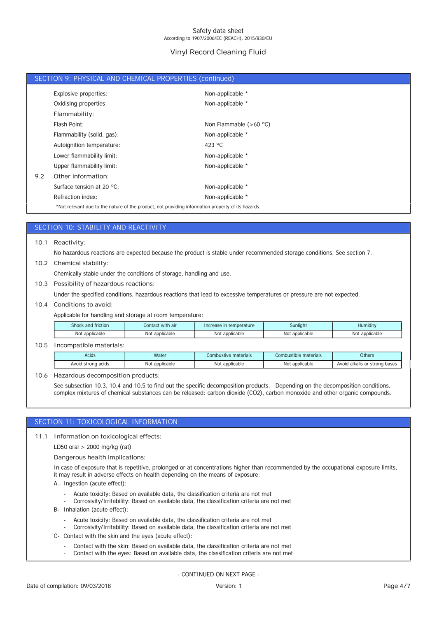# **Vinyl Record Cleaning Fluid**

|     | SECTION 9: PHYSICAL AND CHEMICAL PROPERTIES (continued)                                            |                          |
|-----|----------------------------------------------------------------------------------------------------|--------------------------|
|     | Explosive properties:                                                                              | Non-applicable *         |
|     | Oxidising properties:                                                                              | Non-applicable *         |
|     | Flammability:                                                                                      |                          |
|     | Flash Point:                                                                                       | Non Flammable $(>60 °C)$ |
|     | Flammability (solid, gas):                                                                         | Non-applicable *         |
|     | Autoignition temperature:                                                                          | 423 $\degree$ C          |
|     | Lower flammability limit:                                                                          | Non-applicable *         |
|     | Upper flammability limit:                                                                          | Non-applicable *         |
| 9.2 | Other information:                                                                                 |                          |
|     | Surface tension at 20 $^{\circ}$ C:                                                                | Non-applicable *         |
|     | Refraction index:                                                                                  | Non-applicable *         |
|     | *Not relevant due to the nature of the product, not providing information property of its hazards. |                          |

# SECTION 10: STABILITY AND REACTIVITY

**10.1 Reactivity:**

No hazardous reactions are expected because the product is stable under recommended storage conditions. See section 7.

**10.2 Chemical stability:**

Chemically stable under the conditions of storage, handling and use.

**10.3 Possibility of hazardous reactions:**

Under the specified conditions, hazardous reactions that lead to excessive temperatures or pressure are not expected.

**10.4 Conditions to avoid:**

Applicable for handling and storage at room temperature:

| Shock and friction | Contact with air | Increase in temperature | Sunliaht     | Humidity    |
|--------------------|------------------|-------------------------|--------------|-------------|
| Not                | Not              | Not                     | Not          | `applicable |
| : applicable       | applicable       | : applicable            | : applicable | Not         |

#### **10.5 Incompatible materials:**

| Acids              | Water          | Combustive materials | Combustible materials | Others                        |
|--------------------|----------------|----------------------|-----------------------|-------------------------------|
| Avoid strong acids | Not applicable | Not applicable       | Not applicable        | Avoid alkalis or strong bases |

**10.6 Hazardous decomposition products:**

See subsection 10.3, 10.4 and 10.5 to find out the specific decomposition products. Depending on the decomposition conditions, complex mixtures of chemical substances can be released: carbon dioxide (CO2), carbon monoxide and other organic compounds.

## SECTION 11: TOXICOLOGICAL INFORMATION

**11.1 Information on toxicological effects:**

LD50 oral > 2000 mg/kg (rat)

**Dangerous health implications:**

In case of exposure that is repetitive, prolonged or at concentrations higher than recommended by the occupational exposure limits, it may result in adverse effects on health depending on the means of exposure:

- A.- Ingestion (acute effect):
	- Acute toxicity: Based on available data, the classification criteria are not met
	- Corrosivity/Irritability: Based on available data, the classification criteria are not met
- B- Inhalation (acute effect):
	- Acute toxicity: Based on available data, the classification criteria are not met
	- Corrosivity/Irritability: Based on available data, the classification criteria are not met
- C- Contact with the skin and the eyes (acute effect):
	- Contact with the skin: Based on available data, the classification criteria are not met Contact with the eyes: Based on available data, the classification criteria are not met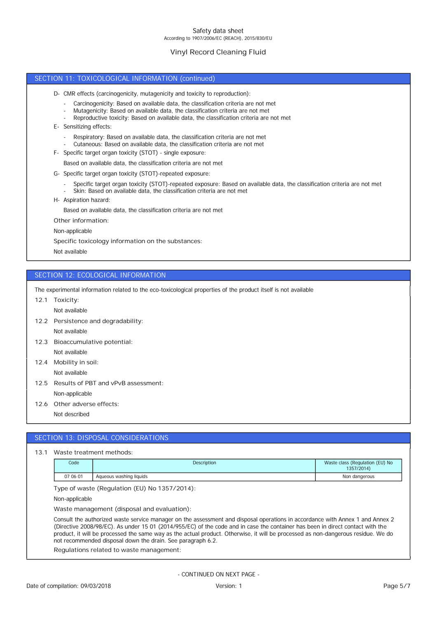# **Vinyl Record Cleaning Fluid**

#### SECTION 11: TOXICOLOGICAL INFORMATION (continued)

- D- CMR effects (carcinogenicity, mutagenicity and toxicity to reproduction):
	- Carcinogenicity: Based on available data, the classification criteria are not met
	- Mutagenicity: Based on available data, the classification criteria are not met
	- Reproductive toxicity: Based on available data, the classification criteria are not met
- E- Sensitizing effects:
	- Respiratory: Based on available data, the classification criteria are not met
	- Cutaneous: Based on available data, the classification criteria are not met
- F- Specific target organ toxicity (STOT) single exposure:
	- Based on available data, the classification criteria are not met
- G- Specific target organ toxicity (STOT)-repeated exposure:
	- Specific target organ toxicity (STOT)-repeated exposure: Based on available data, the classification criteria are not met
	- Skin: Based on available data, the classification criteria are not met
- H- Aspiration hazard:

Based on available data, the classification criteria are not met

**Other information:**

Non-applicable

**Specific toxicology information on the substances:**

Not available

## SECTION 12: ECOLOGICAL INFORMATION

The experimental information related to the eco-toxicological properties of the product itself is not available

**12.1 Toxicity:**

Not available

- Not available **12.2 Persistence and degradability:**
- Not available **12.3 Bioaccumulative potential:**
- **12.4 Mobility in soil:**

Not available

- Non-applicable **12.5 Results of PBT and vPvB assessment:**
- **12.6 Other adverse effects:**
	- Not described

## SECTION 13: DISPOSAL CONSIDERATIONS

#### **13.1 Waste treatment methods:**

| Code     | Description             | Waste class (Regulation (EU) No<br>1357/2014) |
|----------|-------------------------|-----------------------------------------------|
| 07 06 01 | Aqueous washing liquids | Non dangerous                                 |

**Type of waste (Regulation (EU) No 1357/2014):**

Non-applicable

**Waste management (disposal and evaluation):**

Consult the authorized waste service manager on the assessment and disposal operations in accordance with Annex 1 and Annex 2 (Directive 2008/98/EC). As under 15 01 (2014/955/EC) of the code and in case the container has been in direct contact with the product, it will be processed the same way as the actual product. Otherwise, it will be processed as non-dangerous residue. We do not recommended disposal down the drain. See paragraph 6.2.

**Regulations related to waste management:**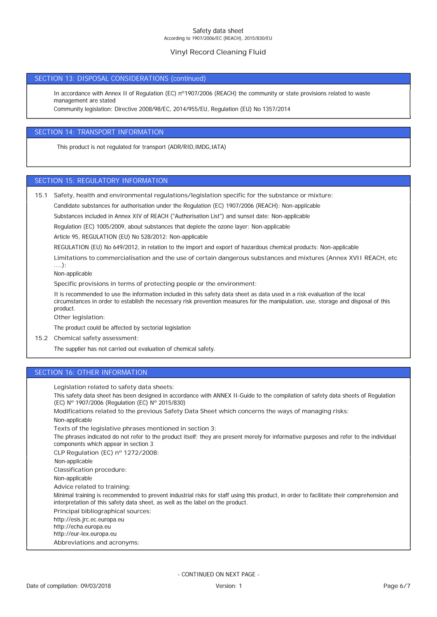# **Vinyl Record Cleaning Fluid**

## SECTION 13: DISPOSAL CONSIDERATIONS (continued)

In accordance with Annex II of Regulation (EC) n°1907/2006 (REACH) the community or state provisions related to waste management are stated

Community legislation: Directive 2008/98/EC, 2014/955/EU, Regulation (EU) No 1357/2014

## SECTION 14: TRANSPORT INFORMATION

This product is not regulated for transport (ADR/RID,IMDG,IATA)

## SECTION 15: REGULATORY INFORMATION

- **15.1 Safety, health and environmental regulations/legislation specific for the substance or mixture:**
	- Candidate substances for authorisation under the Regulation (EC) 1907/2006 (REACH): Non-applicable

Substances included in Annex XIV of REACH ("Authorisation List") and sunset date: Non-applicable

Regulation (EC) 1005/2009, about substances that deplete the ozone layer: Non-applicable

Article 95, REGULATION (EU) No 528/2012: Non-applicable

REGULATION (EU) No 649/2012, in relation to the import and export of hazardous chemical products: Non-applicable

**Limitations to commercialisation and the use of certain dangerous substances and mixtures (Annex XVII REACH, etc ….):**

Non-applicable

**Specific provisions in terms of protecting people or the environment:**

It is recommended to use the information included in this safety data sheet as data used in a risk evaluation of the local circumstances in order to establish the necessary risk prevention measures for the manipulation, use, storage and disposal of this product.

**Other legislation:**

The product could be affected by sectorial legislation

**15.2 Chemical safety assessment:**

The supplier has not carried out evaluation of chemical safety.

## SECTION 16: OTHER INFORMATION

**Legislation related to safety data sheets:**

This safety data sheet has been designed in accordance with ANNEX II-Guide to the compilation of safety data sheets of Regulation (EC) Nº 1907/2006 (Regulation (EC) Nº 2015/830)

**Modifications related to the previous Safety Data Sheet which concerns the ways of managing risks:**

Non-applicable

**Texts of the legislative phrases mentioned in section 3:**

The phrases indicated do not refer to the product itself; they are present merely for informative purposes and refer to the individual components which appear in section 3

**CLP Regulation (EC) nº 1272/2008:**

Non-applicable

**Classification procedure:**

Non-applicable

**Advice related to training:**

Minimal training is recommended to prevent industrial risks for staff using this product, in order to facilitate their comprehension and interpretation of this safety data sheet, as well as the label on the product.

**Principal bibliographical sources:**

http://esis.jrc.ec.europa.eu

http://echa.europa.eu

http://eur-lex.europa.eu

**Abbreviations and acronyms:**